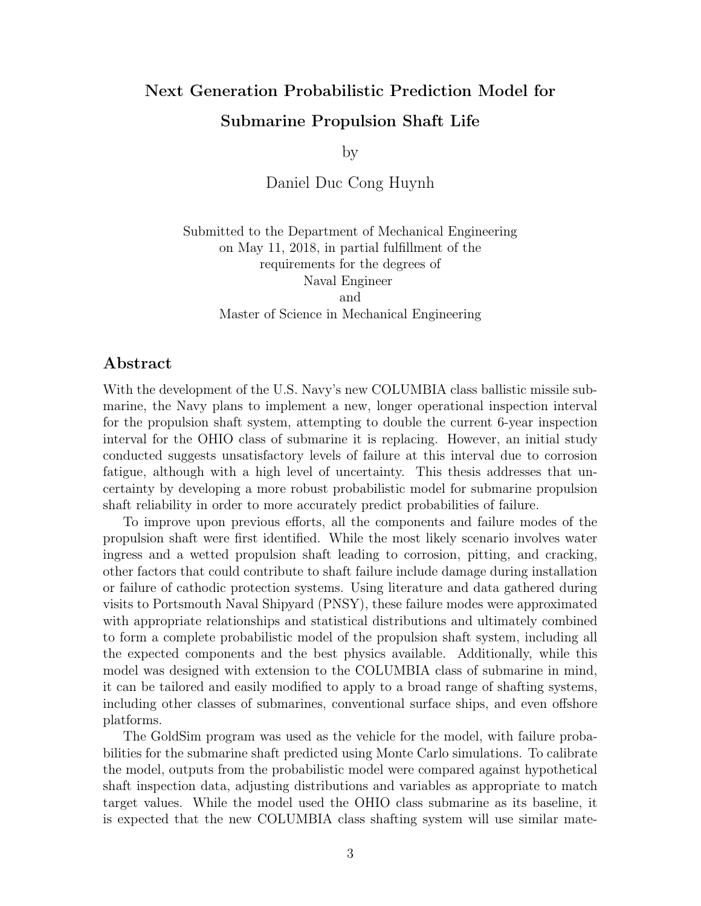## Next Generation Probabilistic Prediction Model for Submarine Propulsion Shaft Life

by

Daniel Duc Cong Huynh

Submitted to the Department of Mechanical Engineering on May 11, 2018, in partial fulfillment of the requirements for the degrees of Naval Engineer and Master of Science in Mechanical Engineering

## Abstract

With the development of the U.S. Navy's new COLUMBIA class ballistic missile submarine, the Navy plans to implement a new, longer operational inspection interval for the propulsion shaft system, attempting to double the current 6-year inspection interval for the OHIO class of submarine it is replacing. However, an initial study conducted suggests unsatisfactory levels of failure at this interval due to corrosion fatigue, although with a high level of uncertainty. This thesis addresses that uncertainty by developing a more robust probabilistic model for submarine propulsion shaft reliability in order to more accurately predict probabilities of failure.

To improve upon previous efforts, all the components and failure modes of the propulsion shaft were first identified. While the most likely scenario involves water ingress and a wetted propulsion shaft leading to corrosion, pitting, and cracking, other factors that could contribute to shaft failure include damage during installation or failure of cathodic protection systems. Using literature and data gathered during visits to Portsmouth Naval Shipyard (PNSY), these failure modes were approximated with appropriate relationships and statistical distributions and ultimately combined to form a complete probabilistic model of the propulsion shaft system, including all the expected components and the best physics available. Additionally, while this model was designed with extension to the COLUMBIA class of submarine in mind, it can be tailored and easily modified to apply to a broad range of shafting systems, including other classes of submarines, conventional surface ships, and even offshore platforms.

The GoldSim program was used as the vehicle for the model, with failure probabilities for the submarine shaft predicted using Monte Carlo simulations. To calibrate the model, outputs from the probabilistic model were compared against hypothetical shaft inspection data, adjusting distributions and variables as appropriate to match target values. While the model used the OHIO class submarine as its baseline, it is expected that the new COLUMBIA class shafting system will use similar mate